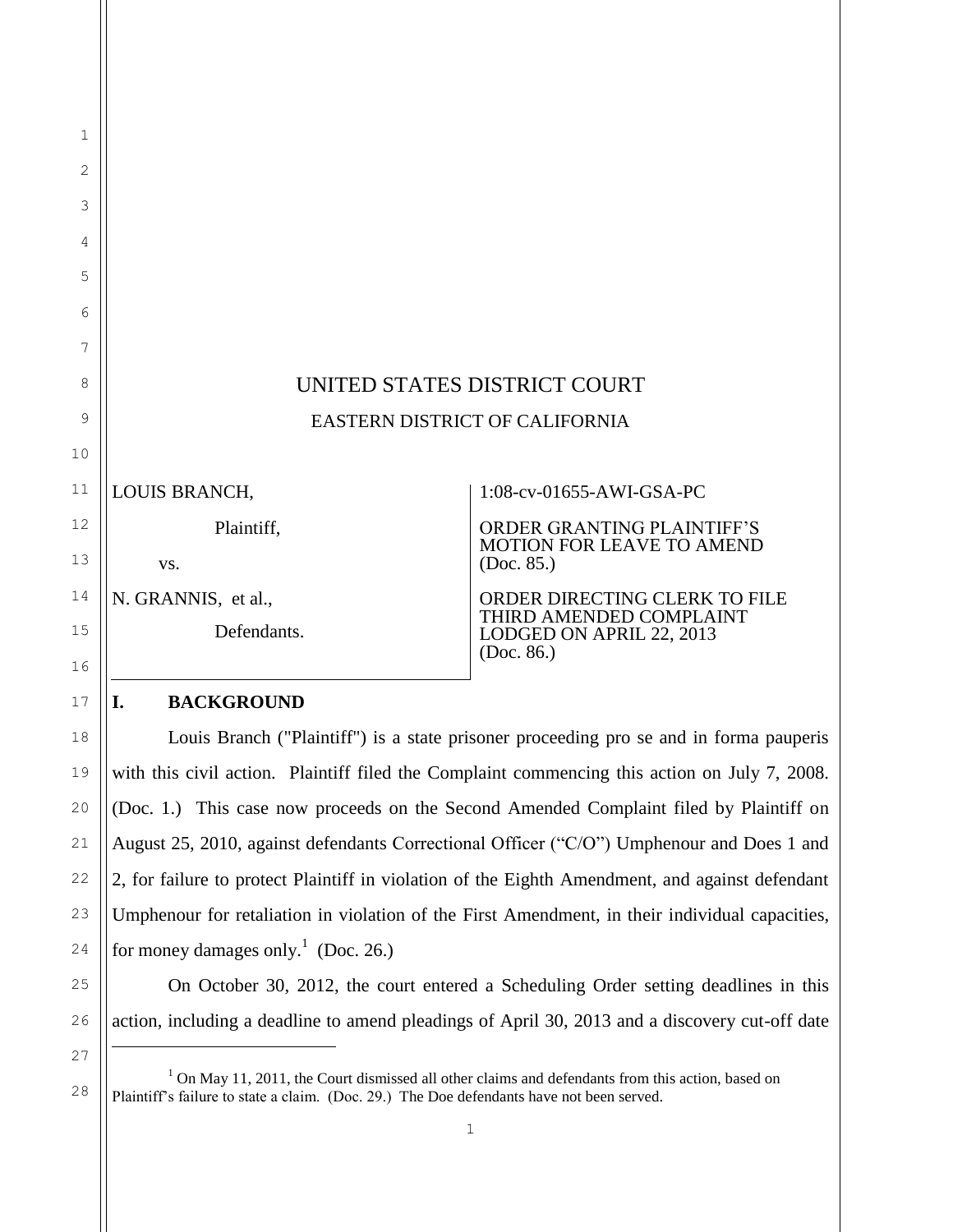| UNITED STATES DISTRICT COURT   |                                                                                                                                               |  |  |
|--------------------------------|-----------------------------------------------------------------------------------------------------------------------------------------------|--|--|
| EASTERN DISTRICT OF CALIFORNIA |                                                                                                                                               |  |  |
|                                |                                                                                                                                               |  |  |
| LOUIS BRANCH,                  | 1:08-cv-01655-AWI-GSA-PC                                                                                                                      |  |  |
| Plaintiff,                     | ORDER GRANTING PLAINTIFF'S                                                                                                                    |  |  |
| VS.                            | MOTION FOR LEAVE TO AMEND<br>(Doc. 85.)<br>ORDER DIRECTING CLERK TO FILE<br>THIRD AMENDED COMPLAINT<br>LODGED ON APRIL 22, 2013<br>(Doc. 86.) |  |  |
| N. GRANNIS, et al.,            |                                                                                                                                               |  |  |
| Defendants.                    |                                                                                                                                               |  |  |
| I.<br><b>BACKGROUND</b>        |                                                                                                                                               |  |  |

Louis Branch ("Plaintiff") is a state prisoner proceeding pro se and in forma pauperis with this civil action. Plaintiff filed the Complaint commencing this action on July 7, 2008. (Doc. 1.) This case now proceeds on the Second Amended Complaint filed by Plaintiff on August 25, 2010, against defendants Correctional Officer ("C/O") Umphenour and Does 1 and 2, for failure to protect Plaintiff in violation of the Eighth Amendment, and against defendant Umphenour for retaliation in violation of the First Amendment, in their individual capacities, for money damages only.<sup>1</sup> (Doc. 26.)

18

19

20

21

22

23

24

25

26

27

l

28

On October 30, 2012, the court entered a Scheduling Order setting deadlines in this action, including a deadline to amend pleadings of April 30, 2013 and a discovery cut-off date

<sup>&</sup>lt;sup>1</sup> On May 11, 2011, the Court dismissed all other claims and defendants from this action, based on Plaintiff's failure to state a claim. (Doc. 29.) The Doe defendants have not been served.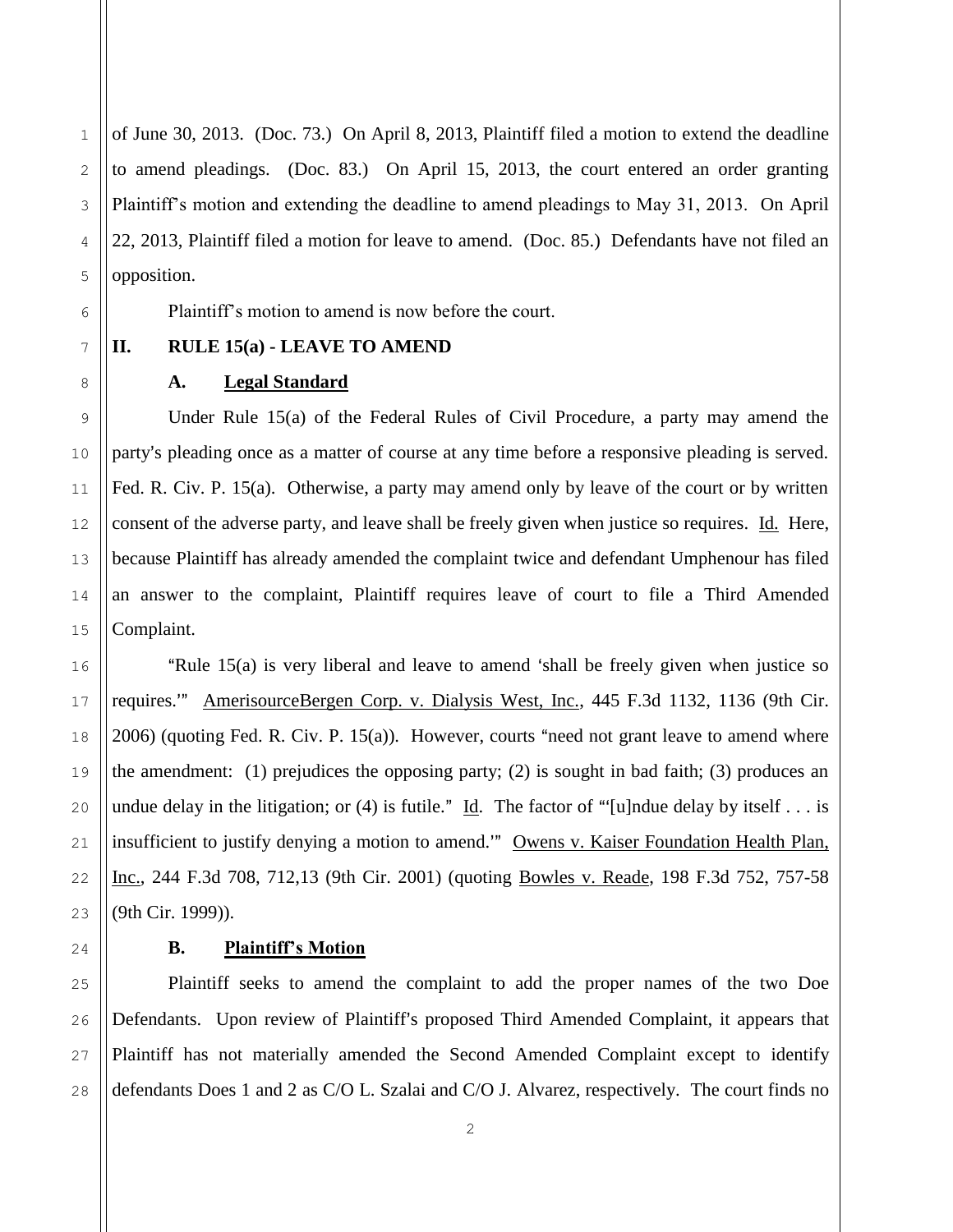of June 30, 2013. (Doc. 73.) On April 8, 2013, Plaintiff filed a motion to extend the deadline to amend pleadings. (Doc. 83.) On April 15, 2013, the court entered an order granting Plaintiff's motion and extending the deadline to amend pleadings to May 31, 2013. On April 22, 2013, Plaintiff filed a motion for leave to amend. (Doc. 85.) Defendants have not filed an opposition.

Plaintiff's motion to amend is now before the court.

## **II. RULE 15(a) - LEAVE TO AMEND**

## **A. Legal Standard**

Under Rule 15(a) of the Federal Rules of Civil Procedure, a party may amend the party's pleading once as a matter of course at any time before a responsive pleading is served. Fed. R. Civ. P. 15(a). Otherwise, a party may amend only by leave of the court or by written consent of the adverse party, and leave shall be freely given when justice so requires. Id. Here, because Plaintiff has already amended the complaint twice and defendant Umphenour has filed an answer to the complaint, Plaintiff requires leave of court to file a Third Amended Complaint.

"Rule  $15(a)$  is very liberal and leave to amend 'shall be freely given when justice so requires." AmerisourceBergen Corp. v. Dialysis West, Inc., 445 F.3d 1132, 1136 (9th Cir.  $2006$ ) (quoting Fed. R. Civ. P. 15(a)). However, courts "need not grant leave to amend where the amendment: (1) prejudices the opposing party; (2) is sought in bad faith; (3) produces an undue delay in the litigation; or (4) is futile." Id. The factor of "[u]ndue delay by itself . . . is insufficient to justify denying a motion to amend." Owens v. Kaiser Foundation Health Plan, Inc., 244 F.3d 708, 712,13 (9th Cir. 2001) (quoting Bowles v. Reade, 198 F.3d 752, 757-58 (9th Cir. 1999)).

## **B. Plaintiff's Motion**

Plaintiff seeks to amend the complaint to add the proper names of the two Doe Defendants. Upon review of Plaintiff's proposed Third Amended Complaint, it appears that Plaintiff has not materially amended the Second Amended Complaint except to identify defendants Does 1 and 2 as C/O L. Szalai and C/O J. Alvarez, respectively. The court finds no